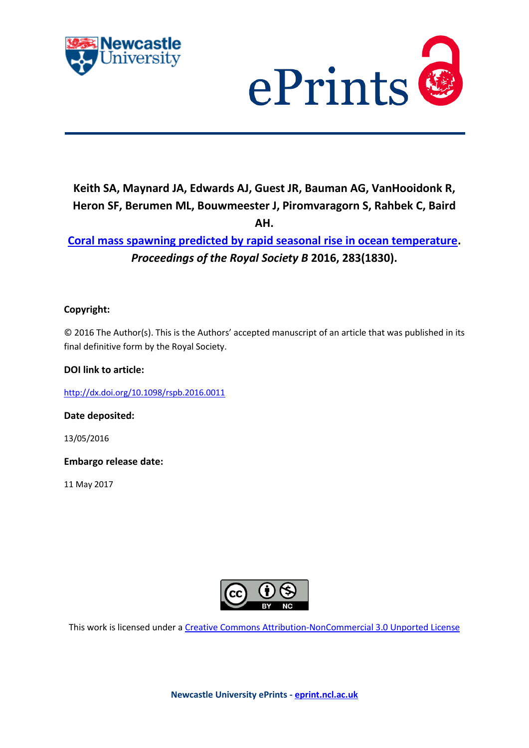



# **Keith SA, Maynard JA, Edwards AJ, Guest JR, Bauman AG, VanHooidonk R, Heron SF, Berumen ML, Bouwmeester J, Piromvaragorn S, Rahbek C, Baird AH.**

# **[Coral mass spawning predicted by rapid seasonal](javascript:ViewPublication(224570);) rise in ocean temperature.**  *Proceedings of the Royal Society B* **2016, 283(1830).**

# **Copyright:**

© 2016 The Author(s). This is the Authors' accepted manuscript of an article that was published in its final definitive form by the Royal Society.

# **DOI link to article:**

<http://dx.doi.org/10.1098/rspb.2016.0011>

**Date deposited:** 

13/05/2016

**Embargo release date:**

11 May 2017



This work is licensed under a [Creative Commons Attribution-NonCommercial 3.0 Unported License](http://creativecommons.org/licenses/by-nc/3.0/deed.en_GB)

**Newcastle University ePrints - [eprint.ncl.ac.uk](http://eprint.ncl.ac.uk/)**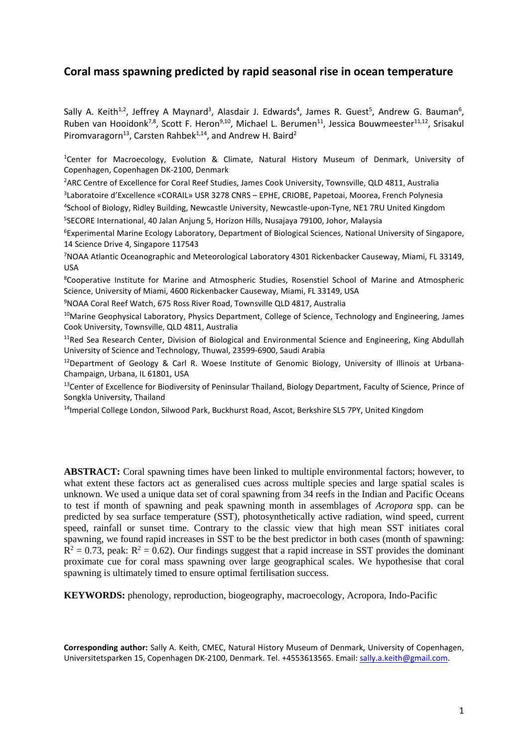# **Coral mass spawning predicted by rapid seasonal rise in ocean temperature**

Sally A. Keith<sup>1,2</sup>, Jeffrey A Maynard<sup>3</sup>, Alasdair J. Edwards<sup>4</sup>, James R. Guest<sup>5</sup>, Andrew G. Bauman<sup>6</sup>, Ruben van Hooidonk<sup>7,8</sup>, Scott F. Heron<sup>9,10</sup>, Michael L. Berumen<sup>11</sup>, Jessica Bouwmeester<sup>11,12</sup>, Srisakul Piromvaragorn<sup>13</sup>, Carsten Rahbek<sup>1,14</sup>, and Andrew H. Baird<sup>2</sup>

1 Center for Macroecology, Evolution & Climate, Natural History Museum of Denmark, University of Copenhagen, Copenhagen DK-2100, Denmark

2 ARC Centre of Excellence for Coral Reef Studies, James Cook University, Townsville, QLD 4811, Australia 3 Laboratoire d'Excellence «CORAIL» USR 3278 CNRS – EPHE, CRIOBE, Papetoai, Moorea, French Polynesia

4 School of Biology, Ridley Building, Newcastle University, Newcastle-upon-Tyne, NE1 7RU United Kingdom 5 SECORE International, 40 Jalan Anjung 5, Horizon Hills, Nusajaya 79100, Johor, Malaysia

6 Experimental Marine Ecology Laboratory, Department of Biological Sciences, National University of Singapore, 14 Science Drive 4, Singapore 117543

7 NOAA Atlantic Oceanographic and Meteorological Laboratory 4301 Rickenbacker Causeway, Miami, FL 33149, USA

8 Cooperative Institute for Marine and Atmospheric Studies, Rosenstiel School of Marine and Atmospheric Science, University of Miami, 4600 Rickenbacker Causeway, Miami, FL 33149, USA

9 NOAA Coral Reef Watch, 675 Ross River Road, Townsville QLD 4817, Australia

<sup>10</sup>Marine Geophysical Laboratory, Physics Department, College of Science, Technology and Engineering, James Cook University, Townsville, QLD 4811, Australia

 $11$ Red Sea Research Center, Division of Biological and Environmental Science and Engineering, King Abdullah University of Science and Technology, Thuwal, 23599-6900, Saudi Arabia

<sup>12</sup>Department of Geology & Carl R. Woese Institute of Genomic Biology, University of Illinois at Urbana-Champaign, Urbana, IL 61801, USA

<sup>13</sup>Center of Excellence for Biodiversity of Peninsular Thailand, Biology Department, Faculty of Science, Prince of Songkla University, Thailand

<sup>14</sup>Imperial College London, Silwood Park, Buckhurst Road, Ascot, Berkshire SL5 7PY, United Kingdom

**ABSTRACT:** Coral spawning times have been linked to multiple environmental factors; however, to what extent these factors act as generalised cues across multiple species and large spatial scales is unknown. We used a unique data set of coral spawning from 34 reefs in the Indian and Pacific Oceans to test if month of spawning and peak spawning month in assemblages of *Acropora* spp. can be predicted by sea surface temperature (SST), photosynthetically active radiation, wind speed, current speed, rainfall or sunset time. Contrary to the classic view that high mean SST initiates coral spawning, we found rapid increases in SST to be the best predictor in both cases (month of spawning:  $\overline{R}^2 = 0.73$ , peak:  $R^2 = 0.62$ ). Our findings suggest that a rapid increase in SST provides the dominant proximate cue for coral mass spawning over large geographical scales. We hypothesise that coral spawning is ultimately timed to ensure optimal fertilisation success.

**KEYWORDS:** phenology, reproduction, biogeography, macroecology, Acropora, Indo-Pacific

**Corresponding author:** Sally A. Keith, CMEC, Natural History Museum of Denmark, University of Copenhagen, Universitetsparken 15, Copenhagen DK-2100, Denmark. Tel. +4553613565. Email[: sally.a.keith@gmail.com.](mailto:sally.a.keith@gmail.com)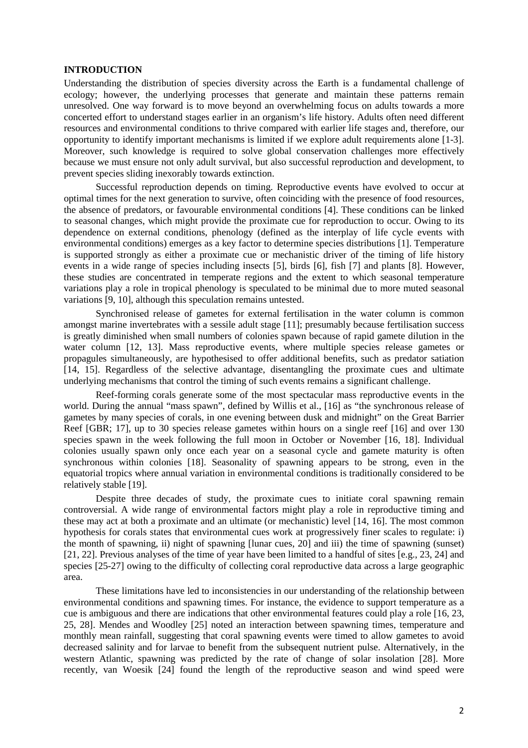#### **INTRODUCTION**

Understanding the distribution of species diversity across the Earth is a fundamental challenge of ecology; however, the underlying processes that generate and maintain these patterns remain unresolved. One way forward is to move beyond an overwhelming focus on adults towards a more concerted effort to understand stages earlier in an organism's life history. Adults often need different resources and environmental conditions to thrive compared with earlier life stages and, therefore, our opportunity to identify important mechanisms is limited if we explore adult requirements alone [1-3]. Moreover, such knowledge is required to solve global conservation challenges more effectively because we must ensure not only adult survival, but also successful reproduction and development, to prevent species sliding inexorably towards extinction.

Successful reproduction depends on timing. Reproductive events have evolved to occur at optimal times for the next generation to survive, often coinciding with the presence of food resources, the absence of predators, or favourable environmental conditions [4]. These conditions can be linked to seasonal changes, which might provide the proximate cue for reproduction to occur. Owing to its dependence on external conditions, phenology (defined as the interplay of life cycle events with environmental conditions) emerges as a key factor to determine species distributions [1]. Temperature is supported strongly as either a proximate cue or mechanistic driver of the timing of life history events in a wide range of species including insects [5], birds [6], fish [7] and plants [8]. However, these studies are concentrated in temperate regions and the extent to which seasonal temperature variations play a role in tropical phenology is speculated to be minimal due to more muted seasonal variations [9, 10], although this speculation remains untested.

Synchronised release of gametes for external fertilisation in the water column is common amongst marine invertebrates with a sessile adult stage [11]; presumably because fertilisation success is greatly diminished when small numbers of colonies spawn because of rapid gamete dilution in the water column [12, 13]. Mass reproductive events, where multiple species release gametes or propagules simultaneously, are hypothesised to offer additional benefits, such as predator satiation [14, 15]. Regardless of the selective advantage, disentangling the proximate cues and ultimate underlying mechanisms that control the timing of such events remains a significant challenge.

Reef-forming corals generate some of the most spectacular mass reproductive events in the world. During the annual "mass spawn", defined by Willis et al., [16] as "the synchronous release of gametes by many species of corals, in one evening between dusk and midnight" on the Great Barrier Reef [GBR; 17], up to 30 species release gametes within hours on a single reef [16] and over 130 species spawn in the week following the full moon in October or November [16, 18]. Individual colonies usually spawn only once each year on a seasonal cycle and gamete maturity is often synchronous within colonies [18]. Seasonality of spawning appears to be strong, even in the equatorial tropics where annual variation in environmental conditions is traditionally considered to be relatively stable [19].

Despite three decades of study, the proximate cues to initiate coral spawning remain controversial. A wide range of environmental factors might play a role in reproductive timing and these may act at both a proximate and an ultimate (or mechanistic) level [14, 16]. The most common hypothesis for corals states that environmental cues work at progressively finer scales to regulate: i) the month of spawning, ii) night of spawning [lunar cues, 20] and iii) the time of spawning (sunset) [21, 22]. Previous analyses of the time of year have been limited to a handful of sites [e.g., 23, 24] and species [25-27] owing to the difficulty of collecting coral reproductive data across a large geographic area.

These limitations have led to inconsistencies in our understanding of the relationship between environmental conditions and spawning times. For instance, the evidence to support temperature as a cue is ambiguous and there are indications that other environmental features could play a role [16, 23, 25, 28]. Mendes and Woodley [25] noted an interaction between spawning times, temperature and monthly mean rainfall, suggesting that coral spawning events were timed to allow gametes to avoid decreased salinity and for larvae to benefit from the subsequent nutrient pulse. Alternatively, in the western Atlantic, spawning was predicted by the rate of change of solar insolation [28]. More recently, van Woesik [24] found the length of the reproductive season and wind speed were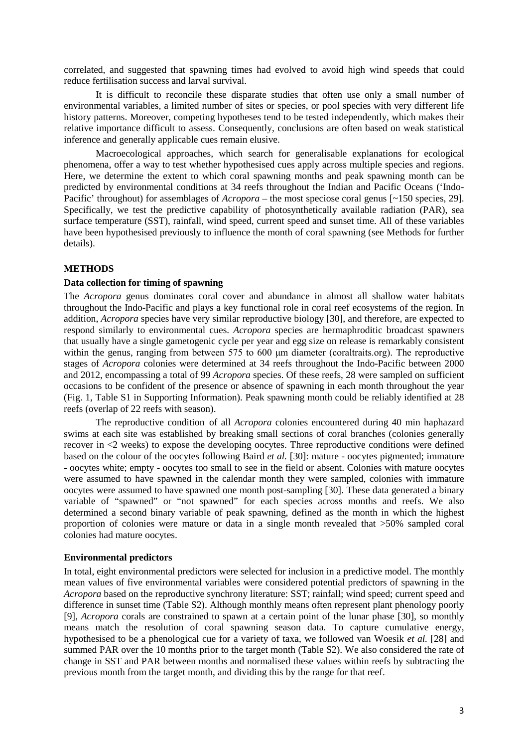correlated, and suggested that spawning times had evolved to avoid high wind speeds that could reduce fertilisation success and larval survival.

It is difficult to reconcile these disparate studies that often use only a small number of environmental variables, a limited number of sites or species, or pool species with very different life history patterns. Moreover, competing hypotheses tend to be tested independently, which makes their relative importance difficult to assess. Consequently, conclusions are often based on weak statistical inference and generally applicable cues remain elusive.

Macroecological approaches, which search for generalisable explanations for ecological phenomena, offer a way to test whether hypothesised cues apply across multiple species and regions. Here, we determine the extent to which coral spawning months and peak spawning month can be predicted by environmental conditions at 34 reefs throughout the Indian and Pacific Oceans ('Indo-Pacific' throughout) for assemblages of *Acropora* – the most speciose coral genus [~150 species, 29]. Specifically, we test the predictive capability of photosynthetically available radiation (PAR), sea surface temperature (SST), rainfall, wind speed, current speed and sunset time. All of these variables have been hypothesised previously to influence the month of coral spawning (see Methods for further details).

# **METHODS**

# **Data collection for timing of spawning**

The *Acropora* genus dominates coral cover and abundance in almost all shallow water habitats throughout the Indo-Pacific and plays a key functional role in coral reef ecosystems of the region. In addition, *Acropora* species have very similar reproductive biology [30], and therefore, are expected to respond similarly to environmental cues. *Acropora* species are hermaphroditic broadcast spawners that usually have a single gametogenic cycle per year and egg size on release is remarkably consistent within the genus, ranging from between 575 to 600 μm diameter (coraltraits.org). The reproductive stages of *Acropora* colonies were determined at 34 reefs throughout the Indo-Pacific between 2000 and 2012, encompassing a total of 99 *Acropora* species. Of these reefs, 28 were sampled on sufficient occasions to be confident of the presence or absence of spawning in each month throughout the year (Fig. 1, Table S1 in Supporting Information). Peak spawning month could be reliably identified at 28 reefs (overlap of 22 reefs with season).

The reproductive condition of all *Acropora* colonies encountered during 40 min haphazard swims at each site was established by breaking small sections of coral branches (colonies generally recover in <2 weeks) to expose the developing oocytes. Three reproductive conditions were defined based on the colour of the oocytes following Baird *et al.* [30]: mature - oocytes pigmented; immature - oocytes white; empty - oocytes too small to see in the field or absent. Colonies with mature oocytes were assumed to have spawned in the calendar month they were sampled, colonies with immature oocytes were assumed to have spawned one month post-sampling [30]. These data generated a binary variable of "spawned" or "not spawned" for each species across months and reefs. We also determined a second binary variable of peak spawning, defined as the month in which the highest proportion of colonies were mature or data in a single month revealed that >50% sampled coral colonies had mature oocytes.

#### **Environmental predictors**

In total, eight environmental predictors were selected for inclusion in a predictive model. The monthly mean values of five environmental variables were considered potential predictors of spawning in the *Acropora* based on the reproductive synchrony literature: SST; rainfall; wind speed; current speed and difference in sunset time (Table S2). Although monthly means often represent plant phenology poorly [9], *Acropora* corals are constrained to spawn at a certain point of the lunar phase [30], so monthly means match the resolution of coral spawning season data. To capture cumulative energy, hypothesised to be a phenological cue for a variety of taxa, we followed van Woesik *et al.* [28] and summed PAR over the 10 months prior to the target month (Table S2). We also considered the rate of change in SST and PAR between months and normalised these values within reefs by subtracting the previous month from the target month, and dividing this by the range for that reef.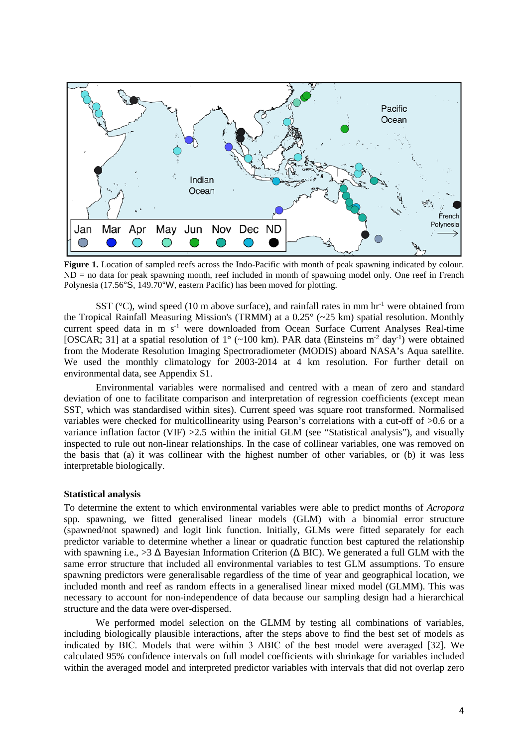

**Figure 1.** Location of sampled reefs across the Indo-Pacific with month of peak spawning indicated by colour. ND = no data for peak spawning month, reef included in month of spawning model only. One reef in French Polynesia (17.56°S, 149.70°W, eastern Pacific) has been moved for plotting.

SST ( $^{\circ}$ C), wind speed (10 m above surface), and rainfall rates in mm hr<sup>-1</sup> were obtained from the Tropical Rainfall Measuring Mission's (TRMM) at a 0.25° (~25 km) spatial resolution. Monthly current speed data in m s<sup>-1</sup> were downloaded from Ocean Surface Current Analyses Real-time [OSCAR; 31] at a spatial resolution of  $1^{\circ}$  (~100 km). PAR data (Einsteins m<sup>-2</sup> day<sup>-1</sup>) were obtained from the Moderate Resolution Imaging Spectroradiometer (MODIS) aboard NASA's Aqua satellite. We used the monthly climatology for 2003-2014 at 4 km resolution. For further detail on environmental data, see Appendix S1.

Environmental variables were normalised and centred with a mean of zero and standard deviation of one to facilitate comparison and interpretation of regression coefficients (except mean SST, which was standardised within sites). Current speed was square root transformed. Normalised variables were checked for multicollinearity using Pearson's correlations with a cut-off of >0.6 or a variance inflation factor (VIF) >2.5 within the initial GLM (see "Statistical analysis"), and visually inspected to rule out non-linear relationships. In the case of collinear variables, one was removed on the basis that (a) it was collinear with the highest number of other variables, or (b) it was less interpretable biologically.

### **Statistical analysis**

To determine the extent to which environmental variables were able to predict months of *Acropora* spp. spawning, we fitted generalised linear models (GLM) with a binomial error structure (spawned/not spawned) and logit link function. Initially, GLMs were fitted separately for each predictor variable to determine whether a linear or quadratic function best captured the relationship with spawning i.e.,  $>3 \Delta$  Bayesian Information Criterion ( $\Delta$  BIC). We generated a full GLM with the same error structure that included all environmental variables to test GLM assumptions. To ensure spawning predictors were generalisable regardless of the time of year and geographical location, we included month and reef as random effects in a generalised linear mixed model (GLMM). This was necessary to account for non-independence of data because our sampling design had a hierarchical structure and the data were over-dispersed.

We performed model selection on the GLMM by testing all combinations of variables, including biologically plausible interactions, after the steps above to find the best set of models as indicated by BIC. Models that were within 3  $\triangle$ BIC of the best model were averaged [32]. We calculated 95% confidence intervals on full model coefficients with shrinkage for variables included within the averaged model and interpreted predictor variables with intervals that did not overlap zero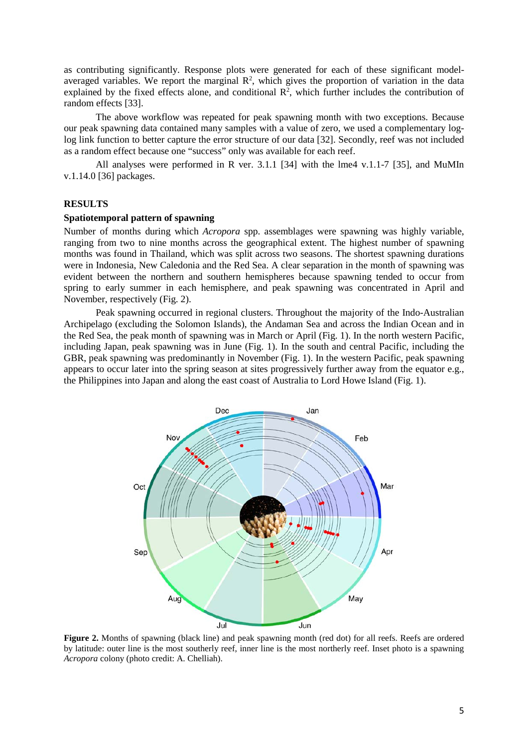as contributing significantly. Response plots were generated for each of these significant modelaveraged variables. We report the marginal  $\mathbb{R}^2$ , which gives the proportion of variation in the data explained by the fixed effects alone, and conditional  $\mathbb{R}^2$ , which further includes the contribution of random effects [33].

The above workflow was repeated for peak spawning month with two exceptions. Because our peak spawning data contained many samples with a value of zero, we used a complementary loglog link function to better capture the error structure of our data [32]. Secondly, reef was not included as a random effect because one "success" only was available for each reef.

All analyses were performed in R ver. 3.1.1 [34] with the lme4 v.1.1-7 [35], and MuMIn v.1.14.0 [36] packages.

# **RESULTS**

# **Spatiotemporal pattern of spawning**

Number of months during which *Acropora* spp. assemblages were spawning was highly variable, ranging from two to nine months across the geographical extent. The highest number of spawning months was found in Thailand, which was split across two seasons. The shortest spawning durations were in Indonesia, New Caledonia and the Red Sea. A clear separation in the month of spawning was evident between the northern and southern hemispheres because spawning tended to occur from spring to early summer in each hemisphere, and peak spawning was concentrated in April and November, respectively (Fig. 2).

Peak spawning occurred in regional clusters. Throughout the majority of the Indo-Australian Archipelago (excluding the Solomon Islands), the Andaman Sea and across the Indian Ocean and in the Red Sea, the peak month of spawning was in March or April (Fig. 1). In the north western Pacific, including Japan, peak spawning was in June (Fig. 1). In the south and central Pacific, including the GBR, peak spawning was predominantly in November (Fig. 1). In the western Pacific, peak spawning appears to occur later into the spring season at sites progressively further away from the equator e.g., the Philippines into Japan and along the east coast of Australia to Lord Howe Island (Fig. 1).



**Figure 2.** Months of spawning (black line) and peak spawning month (red dot) for all reefs. Reefs are ordered by latitude: outer line is the most southerly reef, inner line is the most northerly reef. Inset photo is a spawning *Acropora* colony (photo credit: A. Chelliah).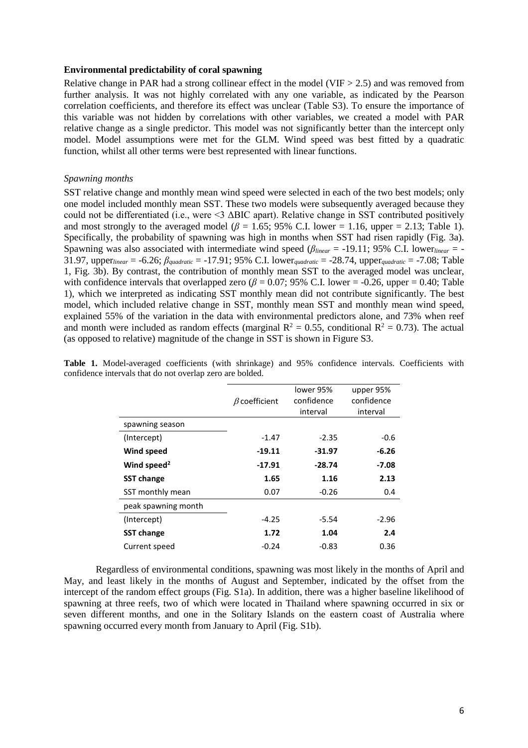### **Environmental predictability of coral spawning**

Relative change in PAR had a strong collinear effect in the model (VIF  $> 2.5$ ) and was removed from further analysis. It was not highly correlated with any one variable, as indicated by the Pearson correlation coefficients, and therefore its effect was unclear (Table S3). To ensure the importance of this variable was not hidden by correlations with other variables, we created a model with PAR relative change as a single predictor. This model was not significantly better than the intercept only model. Model assumptions were met for the GLM. Wind speed was best fitted by a quadratic function, whilst all other terms were best represented with linear functions.

# *Spawning months*

SST relative change and monthly mean wind speed were selected in each of the two best models; only one model included monthly mean SST. These two models were subsequently averaged because they could not be differentiated (i.e., were <3 ΔBIC apart). Relative change in SST contributed positively and most strongly to the averaged model ( $\beta$  = 1.65; 95% C.I. lower = 1.16, upper = 2.13; Table 1). Specifically, the probability of spawning was high in months when SST had risen rapidly (Fig. 3a). Spawning was also associated with intermediate wind speed (*βlinear* = -19.11; 95% C.I. lower*linear* = - 31.97, upper*linear* = -6.26; *βquadratic* = -17.91; 95% C.I. lower*quadratic* = -28.74, upper*quadratic* = -7.08; Table 1, Fig. 3b). By contrast, the contribution of monthly mean SST to the averaged model was unclear, with confidence intervals that overlapped zero ( $\beta$  = 0.07; 95% C.I. lower = -0.26, upper = 0.40; Table 1), which we interpreted as indicating SST monthly mean did not contribute significantly. The best model, which included relative change in SST, monthly mean SST and monthly mean wind speed, explained 55% of the variation in the data with environmental predictors alone, and 73% when reef and month were included as random effects (marginal  $R^2 = 0.55$ , conditional  $R^2 = 0.73$ ). The actual (as opposed to relative) magnitude of the change in SST is shown in Figure S3.

**Table 1.** Model-averaged coefficients (with shrinkage) and 95% confidence intervals. Coefficients with confidence intervals that do not overlap zero are bolded.

|                         |                     | lower 95%  | upper 95%  |
|-------------------------|---------------------|------------|------------|
|                         | $\beta$ coefficient | confidence | confidence |
|                         |                     | interval   | interval   |
| spawning season         |                     |            |            |
| (Intercept)             | $-1.47$             | $-2.35$    | $-0.6$     |
| <b>Wind speed</b>       | -19.11              | $-31.97$   | $-6.26$    |
| Wind speed <sup>2</sup> | $-17.91$            | $-28.74$   | -7.08      |
| <b>SST change</b>       | 1.65                | 1.16       | 2.13       |
| SST monthly mean        | 0.07                | $-0.26$    | 0.4        |
| peak spawning month     |                     |            |            |
| (Intercept)             | $-4.25$             | $-5.54$    | -2.96      |
| <b>SST change</b>       | 1.72                | 1.04       | 2.4        |
| Current speed           | $-0.24$             | -0.83      | 0.36       |

Regardless of environmental conditions, spawning was most likely in the months of April and May, and least likely in the months of August and September, indicated by the offset from the intercept of the random effect groups (Fig. S1a). In addition, there was a higher baseline likelihood of spawning at three reefs, two of which were located in Thailand where spawning occurred in six or seven different months, and one in the Solitary Islands on the eastern coast of Australia where spawning occurred every month from January to April (Fig. S1b).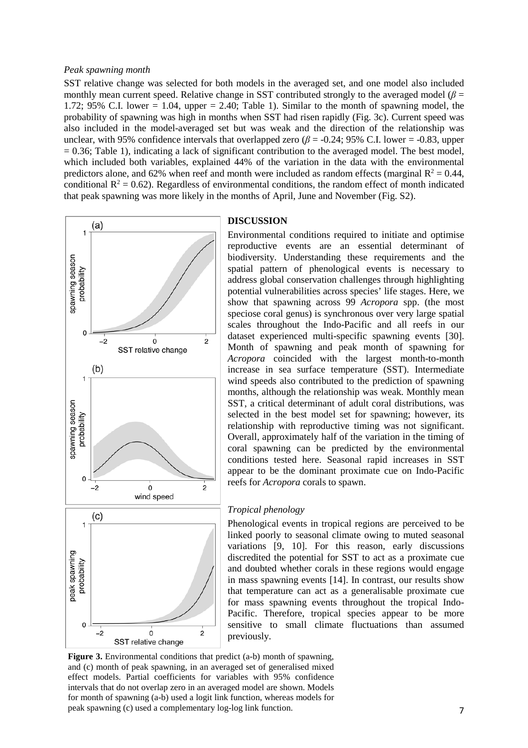### *Peak spawning month*

SST relative change was selected for both models in the averaged set, and one model also included monthly mean current speed. Relative change in SST contributed strongly to the averaged model ( $\beta$  = 1.72; 95% C.I. lower  $= 1.04$ , upper  $= 2.40$ ; Table 1). Similar to the month of spawning model, the probability of spawning was high in months when SST had risen rapidly (Fig. 3c). Current speed was also included in the model-averaged set but was weak and the direction of the relationship was unclear, with 95% confidence intervals that overlapped zero  $(\beta = -0.24; 95\% \text{ C.I.}$  lower =  $-0.83$ , upper  $= 0.36$ ; Table 1), indicating a lack of significant contribution to the averaged model. The best model, which included both variables, explained 44% of the variation in the data with the environmental predictors alone, and 62% when reef and month were included as random effects (marginal  $R^2 = 0.44$ , conditional  $R^2 = 0.62$ ). Regardless of environmental conditions, the random effect of month indicated that peak spawning was more likely in the months of April, June and November (Fig. S2).



# **DISCUSSION**

Environmental conditions required to initiate and optimise reproductive events are an essential determinant of biodiversity. Understanding these requirements and the spatial pattern of phenological events is necessary to address global conservation challenges through highlighting potential vulnerabilities across species' life stages. Here, we show that spawning across 99 *Acropora* spp. (the most speciose coral genus) is synchronous over very large spatial scales throughout the Indo-Pacific and all reefs in our dataset experienced multi-specific spawning events [30]. Month of spawning and peak month of spawning for *Acropora* coincided with the largest month-to-month increase in sea surface temperature (SST). Intermediate wind speeds also contributed to the prediction of spawning months, although the relationship was weak. Monthly mean SST, a critical determinant of adult coral distributions, was selected in the best model set for spawning; however, its relationship with reproductive timing was not significant. Overall, approximately half of the variation in the timing of coral spawning can be predicted by the environmental conditions tested here. Seasonal rapid increases in SST appear to be the dominant proximate cue on Indo-Pacific reefs for *Acropora* corals to spawn.

# *Tropical phenology*

Phenological events in tropical regions are perceived to be linked poorly to seasonal climate owing to muted seasonal variations [9, 10]. For this reason, early discussions discredited the potential for SST to act as a proximate cue and doubted whether corals in these regions would engage in mass spawning events [14]. In contrast, our results show that temperature can act as a generalisable proximate cue for mass spawning events throughout the tropical Indo-Pacific. Therefore, tropical species appear to be more sensitive to small climate fluctuations than assumed previously.

**Figure 3.** Environmental conditions that predict (a-b) month of spawning, and (c) month of peak spawning, in an averaged set of generalised mixed effect models. Partial coefficients for variables with 95% confidence intervals that do not overlap zero in an averaged model are shown. Models for month of spawning (a-b) used a logit link function, whereas models for peak spawning (c) used a complementary log-log link function.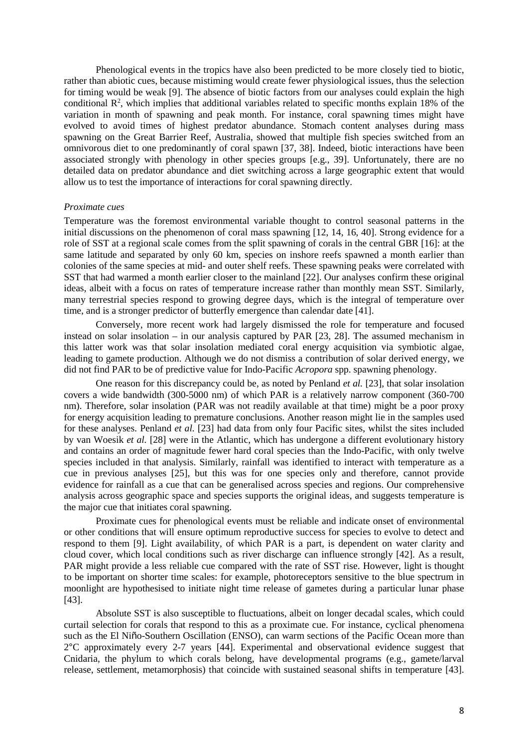Phenological events in the tropics have also been predicted to be more closely tied to biotic, rather than abiotic cues, because mistiming would create fewer physiological issues, thus the selection for timing would be weak [9]. The absence of biotic factors from our analyses could explain the high conditional  $\mathbb{R}^2$ , which implies that additional variables related to specific months explain 18% of the variation in month of spawning and peak month. For instance, coral spawning times might have evolved to avoid times of highest predator abundance. Stomach content analyses during mass spawning on the Great Barrier Reef, Australia, showed that multiple fish species switched from an omnivorous diet to one predominantly of coral spawn [37, 38]. Indeed, biotic interactions have been associated strongly with phenology in other species groups [e.g., 39]. Unfortunately, there are no detailed data on predator abundance and diet switching across a large geographic extent that would allow us to test the importance of interactions for coral spawning directly.

#### *Proximate cues*

Temperature was the foremost environmental variable thought to control seasonal patterns in the initial discussions on the phenomenon of coral mass spawning [12, 14, 16, 40]. Strong evidence for a role of SST at a regional scale comes from the split spawning of corals in the central GBR [16]: at the same latitude and separated by only 60 km, species on inshore reefs spawned a month earlier than colonies of the same species at mid- and outer shelf reefs. These spawning peaks were correlated with SST that had warmed a month earlier closer to the mainland [22]. Our analyses confirm these original ideas, albeit with a focus on rates of temperature increase rather than monthly mean SST. Similarly, many terrestrial species respond to growing degree days, which is the integral of temperature over time, and is a stronger predictor of butterfly emergence than calendar date [41].

Conversely, more recent work had largely dismissed the role for temperature and focused instead on solar insolation – in our analysis captured by PAR [23, 28]. The assumed mechanism in this latter work was that solar insolation mediated coral energy acquisition via symbiotic algae, leading to gamete production. Although we do not dismiss a contribution of solar derived energy, we did not find PAR to be of predictive value for Indo-Pacific *Acropora* spp. spawning phenology.

One reason for this discrepancy could be, as noted by Penland *et al.* [23], that solar insolation covers a wide bandwidth (300-5000 nm) of which PAR is a relatively narrow component (360-700 nm). Therefore, solar insolation (PAR was not readily available at that time) might be a poor proxy for energy acquisition leading to premature conclusions. Another reason might lie in the samples used for these analyses. Penland *et al.* [23] had data from only four Pacific sites, whilst the sites included by van Woesik *et al.* [28] were in the Atlantic, which has undergone a different evolutionary history and contains an order of magnitude fewer hard coral species than the Indo-Pacific, with only twelve species included in that analysis. Similarly, rainfall was identified to interact with temperature as a cue in previous analyses [25], but this was for one species only and therefore, cannot provide evidence for rainfall as a cue that can be generalised across species and regions. Our comprehensive analysis across geographic space and species supports the original ideas, and suggests temperature is the major cue that initiates coral spawning.

Proximate cues for phenological events must be reliable and indicate onset of environmental or other conditions that will ensure optimum reproductive success for species to evolve to detect and respond to them [9]. Light availability, of which PAR is a part, is dependent on water clarity and cloud cover, which local conditions such as river discharge can influence strongly [42]. As a result, PAR might provide a less reliable cue compared with the rate of SST rise. However, light is thought to be important on shorter time scales: for example, photoreceptors sensitive to the blue spectrum in moonlight are hypothesised to initiate night time release of gametes during a particular lunar phase [43].

Absolute SST is also susceptible to fluctuations, albeit on longer decadal scales, which could curtail selection for corals that respond to this as a proximate cue. For instance, cyclical phenomena such as the El Niño-Southern Oscillation (ENSO), can warm sections of the Pacific Ocean more than 2°C approximately every 2-7 years [44]. Experimental and observational evidence suggest that Cnidaria, the phylum to which corals belong, have developmental programs (e.g., gamete/larval release, settlement, metamorphosis) that coincide with sustained seasonal shifts in temperature [43].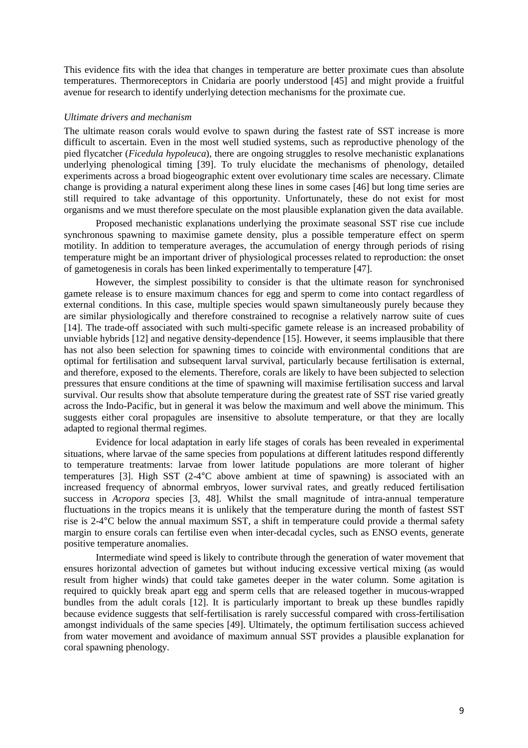This evidence fits with the idea that changes in temperature are better proximate cues than absolute temperatures. Thermoreceptors in Cnidaria are poorly understood [45] and might provide a fruitful avenue for research to identify underlying detection mechanisms for the proximate cue.

#### *Ultimate drivers and mechanism*

The ultimate reason corals would evolve to spawn during the fastest rate of SST increase is more difficult to ascertain. Even in the most well studied systems, such as reproductive phenology of the pied flycatcher (*Ficedula hypoleuca*), there are ongoing struggles to resolve mechanistic explanations underlying phenological timing [39]. To truly elucidate the mechanisms of phenology, detailed experiments across a broad biogeographic extent over evolutionary time scales are necessary. Climate change is providing a natural experiment along these lines in some cases [46] but long time series are still required to take advantage of this opportunity. Unfortunately, these do not exist for most organisms and we must therefore speculate on the most plausible explanation given the data available.

Proposed mechanistic explanations underlying the proximate seasonal SST rise cue include synchronous spawning to maximise gamete density, plus a possible temperature effect on sperm motility. In addition to temperature averages, the accumulation of energy through periods of rising temperature might be an important driver of physiological processes related to reproduction: the onset of gametogenesis in corals has been linked experimentally to temperature [47].

However, the simplest possibility to consider is that the ultimate reason for synchronised gamete release is to ensure maximum chances for egg and sperm to come into contact regardless of external conditions. In this case, multiple species would spawn simultaneously purely because they are similar physiologically and therefore constrained to recognise a relatively narrow suite of cues [14]. The trade-off associated with such multi-specific gamete release is an increased probability of unviable hybrids [12] and negative density-dependence [15]. However, it seems implausible that there has not also been selection for spawning times to coincide with environmental conditions that are optimal for fertilisation and subsequent larval survival, particularly because fertilisation is external, and therefore, exposed to the elements. Therefore, corals are likely to have been subjected to selection pressures that ensure conditions at the time of spawning will maximise fertilisation success and larval survival. Our results show that absolute temperature during the greatest rate of SST rise varied greatly across the Indo-Pacific, but in general it was below the maximum and well above the minimum. This suggests either coral propagules are insensitive to absolute temperature, or that they are locally adapted to regional thermal regimes.

Evidence for local adaptation in early life stages of corals has been revealed in experimental situations, where larvae of the same species from populations at different latitudes respond differently to temperature treatments: larvae from lower latitude populations are more tolerant of higher temperatures [3]. High SST (2-4°C above ambient at time of spawning) is associated with an increased frequency of abnormal embryos, lower survival rates, and greatly reduced fertilisation success in *Acropora* species [3, 48]. Whilst the small magnitude of intra-annual temperature fluctuations in the tropics means it is unlikely that the temperature during the month of fastest SST rise is 2-4°C below the annual maximum SST, a shift in temperature could provide a thermal safety margin to ensure corals can fertilise even when inter-decadal cycles, such as ENSO events, generate positive temperature anomalies.

Intermediate wind speed is likely to contribute through the generation of water movement that ensures horizontal advection of gametes but without inducing excessive vertical mixing (as would result from higher winds) that could take gametes deeper in the water column. Some agitation is required to quickly break apart egg and sperm cells that are released together in mucous-wrapped bundles from the adult corals [12]. It is particularly important to break up these bundles rapidly because evidence suggests that self-fertilisation is rarely successful compared with cross-fertilisation amongst individuals of the same species [49]. Ultimately, the optimum fertilisation success achieved from water movement and avoidance of maximum annual SST provides a plausible explanation for coral spawning phenology.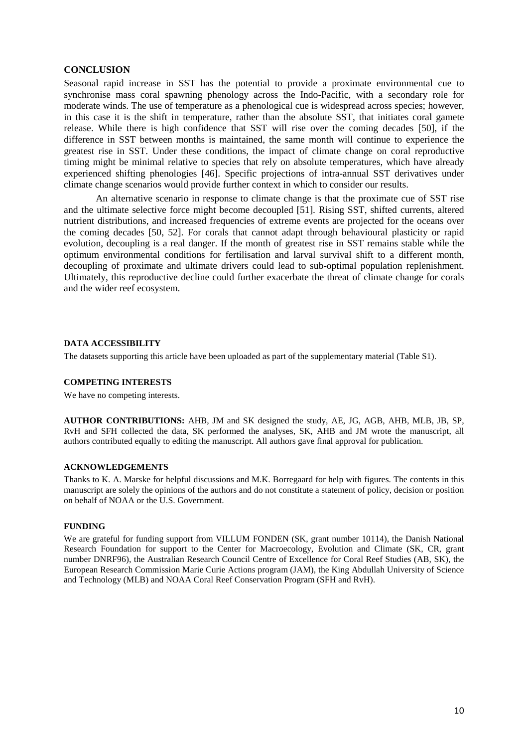# **CONCLUSION**

Seasonal rapid increase in SST has the potential to provide a proximate environmental cue to synchronise mass coral spawning phenology across the Indo-Pacific, with a secondary role for moderate winds. The use of temperature as a phenological cue is widespread across species; however, in this case it is the shift in temperature, rather than the absolute SST, that initiates coral gamete release. While there is high confidence that SST will rise over the coming decades [50], if the difference in SST between months is maintained, the same month will continue to experience the greatest rise in SST. Under these conditions, the impact of climate change on coral reproductive timing might be minimal relative to species that rely on absolute temperatures, which have already experienced shifting phenologies [46]. Specific projections of intra-annual SST derivatives under climate change scenarios would provide further context in which to consider our results.

An alternative scenario in response to climate change is that the proximate cue of SST rise and the ultimate selective force might become decoupled [51]. Rising SST, shifted currents, altered nutrient distributions, and increased frequencies of extreme events are projected for the oceans over the coming decades [50, 52]. For corals that cannot adapt through behavioural plasticity or rapid evolution, decoupling is a real danger. If the month of greatest rise in SST remains stable while the optimum environmental conditions for fertilisation and larval survival shift to a different month, decoupling of proximate and ultimate drivers could lead to sub-optimal population replenishment. Ultimately, this reproductive decline could further exacerbate the threat of climate change for corals and the wider reef ecosystem.

# **DATA ACCESSIBILITY**

The datasets supporting this article have been uploaded as part of the supplementary material (Table S1).

# **COMPETING INTERESTS**

We have no competing interests.

**AUTHOR CONTRIBUTIONS:** AHB, JM and SK designed the study, AE, JG, AGB, AHB, MLB, JB, SP, RvH and SFH collected the data, SK performed the analyses, SK, AHB and JM wrote the manuscript, all authors contributed equally to editing the manuscript. All authors gave final approval for publication.

# **ACKNOWLEDGEMENTS**

Thanks to K. A. Marske for helpful discussions and M.K. Borregaard for help with figures. The contents in this manuscript are solely the opinions of the authors and do not constitute a statement of policy, decision or position on behalf of NOAA or the U.S. Government.

#### **FUNDING**

We are grateful for funding support from VILLUM FONDEN (SK, grant number 10114), the Danish National Research Foundation for support to the Center for Macroecology, Evolution and Climate (SK, CR, grant number DNRF96), the Australian Research Council Centre of Excellence for Coral Reef Studies (AB, SK), the European Research Commission Marie Curie Actions program (JAM), the King Abdullah University of Science and Technology (MLB) and NOAA Coral Reef Conservation Program (SFH and RvH).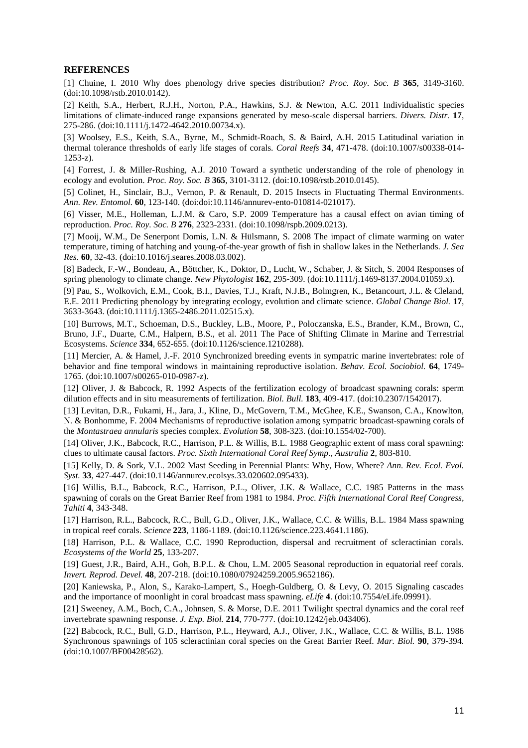# **REFERENCES**

[1] Chuine, I. 2010 Why does phenology drive species distribution? *Proc. Roy. Soc. B* **365**, 3149-3160. (doi:10.1098/rstb.2010.0142).

[2] Keith, S.A., Herbert, R.J.H., Norton, P.A., Hawkins, S.J. & Newton, A.C. 2011 Individualistic species limitations of climate-induced range expansions generated by meso-scale dispersal barriers. *Divers. Distr.* **17**, 275-286. (doi:10.1111/j.1472-4642.2010.00734.x).

[3] Woolsey, E.S., Keith, S.A., Byrne, M., Schmidt-Roach, S. & Baird, A.H. 2015 Latitudinal variation in thermal tolerance thresholds of early life stages of corals. *Coral Reefs* **34**, 471-478. (doi:10.1007/s00338-014- 1253-z).

[4] Forrest, J. & Miller-Rushing, A.J. 2010 Toward a synthetic understanding of the role of phenology in ecology and evolution. *Proc. Roy. Soc. B* **365**, 3101-3112. (doi:10.1098/rstb.2010.0145).

[5] Colinet, H., Sinclair, B.J., Vernon, P. & Renault, D. 2015 Insects in Fluctuating Thermal Environments. *Ann. Rev. Entomol.* **60**, 123-140. (doi:doi:10.1146/annurev-ento-010814-021017).

[6] Visser, M.E., Holleman, L.J.M. & Caro, S.P. 2009 Temperature has a causal effect on avian timing of reproduction. *Proc. Roy. Soc. B* **276**, 2323-2331. (doi:10.1098/rspb.2009.0213).

[7] Mooij, W.M., De Senerpont Domis, L.N. & Hülsmann, S. 2008 The impact of climate warming on water temperature, timing of hatching and young-of-the-year growth of fish in shallow lakes in the Netherlands. *J. Sea Res.* **60**, 32-43. (doi:10.1016/j.seares.2008.03.002).

[8] Badeck, F.-W., Bondeau, A., Böttcher, K., Doktor, D., Lucht, W., Schaber, J. & Sitch, S. 2004 Responses of spring phenology to climate change. *New Phytologist* **162**, 295-309. (doi:10.1111/j.1469-8137.2004.01059.x).

[9] Pau, S., Wolkovich, E.M., Cook, B.I., Davies, T.J., Kraft, N.J.B., Bolmgren, K., Betancourt, J.L. & Cleland, E.E. 2011 Predicting phenology by integrating ecology, evolution and climate science. *Global Change Biol.* **17**, 3633-3643. (doi:10.1111/j.1365-2486.2011.02515.x).

[10] Burrows, M.T., Schoeman, D.S., Buckley, L.B., Moore, P., Poloczanska, E.S., Brander, K.M., Brown, C., Bruno, J.F., Duarte, C.M., Halpern, B.S., et al. 2011 The Pace of Shifting Climate in Marine and Terrestrial Ecosystems. *Science* **334**, 652-655. (doi:10.1126/science.1210288).

[11] Mercier, A. & Hamel, J.-F. 2010 Synchronized breeding events in sympatric marine invertebrates: role of behavior and fine temporal windows in maintaining reproductive isolation. *Behav. Ecol. Sociobiol.* **64**, 1749- 1765. (doi:10.1007/s00265-010-0987-z).

[12] Oliver, J. & Babcock, R. 1992 Aspects of the fertilization ecology of broadcast spawning corals: sperm dilution effects and in situ measurements of fertilization. *Biol. Bull.* **183**, 409-417. (doi:10.2307/1542017).

[13] Levitan, D.R., Fukami, H., Jara, J., Kline, D., McGovern, T.M., McGhee, K.E., Swanson, C.A., Knowlton, N. & Bonhomme, F. 2004 Mechanisms of reproductive isolation among sympatric broadcast-spawning corals of the *Montastraea annularis* species complex. *Evolution* **58**, 308-323. (doi:10.1554/02-700).

[14] Oliver, J.K., Babcock, R.C., Harrison, P.L. & Willis, B.L. 1988 Geographic extent of mass coral spawning: clues to ultimate causal factors. *Proc. Sixth International Coral Reef Symp., Australia* **2**, 803-810.

[15] Kelly, D. & Sork, V.L. 2002 Mast Seeding in Perennial Plants: Why, How, Where? *Ann. Rev. Ecol. Evol. Syst.* **33**, 427-447. (doi:10.1146/annurev.ecolsys.33.020602.095433).

[16] Willis, B.L., Babcock, R.C., Harrison, P.L., Oliver, J.K. & Wallace, C.C. 1985 Patterns in the mass spawning of corals on the Great Barrier Reef from 1981 to 1984. *Proc. Fifth International Coral Reef Congress, Tahiti* **4**, 343-348.

[17] Harrison, R.L., Babcock, R.C., Bull, G.D., Oliver, J.K., Wallace, C.C. & Willis, B.L. 1984 Mass spawning in tropical reef corals. *Science* **223**, 1186-1189. (doi:10.1126/science.223.4641.1186).

[18] Harrison, P.L. & Wallace, C.C. 1990 Reproduction, dispersal and recruitment of scleractinian corals. *Ecosystems of the World* **25**, 133-207.

[19] Guest, J.R., Baird, A.H., Goh, B.P.L. & Chou, L.M. 2005 Seasonal reproduction in equatorial reef corals. *Invert. Reprod. Devel.* **48**, 207-218. (doi:10.1080/07924259.2005.9652186).

[20] Kaniewska, P., Alon, S., Karako-Lampert, S., Hoegh-Guldberg, O. & Levy, O. 2015 Signaling cascades and the importance of moonlight in coral broadcast mass spawning. *eLife* **4**. (doi:10.7554/eLife.09991).

[21] Sweeney, A.M., Boch, C.A., Johnsen, S. & Morse, D.E. 2011 Twilight spectral dynamics and the coral reef invertebrate spawning response. *J. Exp. Biol.* **214**, 770-777. (doi:10.1242/jeb.043406).

[22] Babcock, R.C., Bull, G.D., Harrison, P.L., Heyward, A.J., Oliver, J.K., Wallace, C.C. & Willis, B.L. 1986 Synchronous spawnings of 105 scleractinian coral species on the Great Barrier Reef. *Mar. Biol.* **90**, 379-394. (doi:10.1007/BF00428562).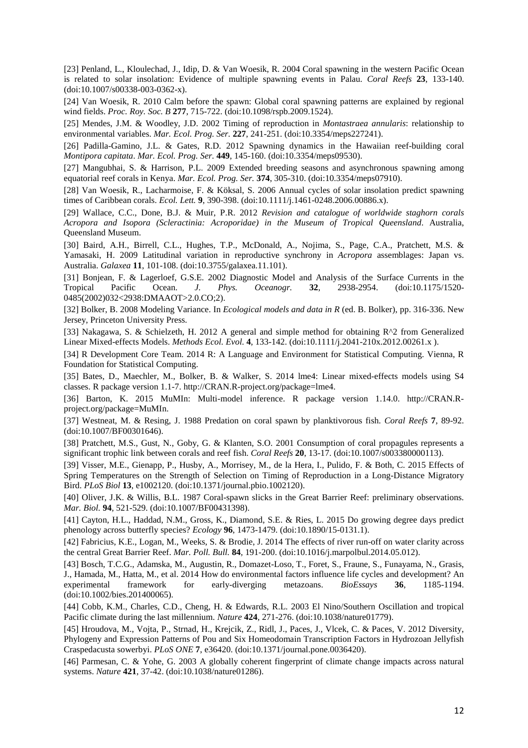[23] Penland, L., Kloulechad, J., Idip, D. & Van Woesik, R. 2004 Coral spawning in the western Pacific Ocean is related to solar insolation: Evidence of multiple spawning events in Palau. *Coral Reefs* **23**, 133-140. (doi:10.1007/s00338-003-0362-x).

[24] Van Woesik, R. 2010 Calm before the spawn: Global coral spawning patterns are explained by regional wind fields. *Proc. Roy. Soc. B* **277**, 715-722. (doi:10.1098/rspb.2009.1524).

[25] Mendes, J.M. & Woodley, J.D. 2002 Timing of reproduction in *Montastraea annularis*: relationship to environmental variables. *Mar. Ecol. Prog. Ser.* **227**, 241-251. (doi:10.3354/meps227241).

[26] Padilla-Gamino, J.L. & Gates, R.D. 2012 Spawning dynamics in the Hawaiian reef-building coral *Montipora capitata*. *Mar. Ecol. Prog. Ser.* **449**, 145-160. (doi:10.3354/meps09530).

[27] Mangubhai, S. & Harrison, P.L. 2009 Extended breeding seasons and asynchronous spawning among equatorial reef corals in Kenya. *Mar. Ecol. Prog. Ser.* **374**, 305-310. (doi:10.3354/meps07910).

[28] Van Woesik, R., Lacharmoise, F. & Köksal, S. 2006 Annual cycles of solar insolation predict spawning times of Caribbean corals. *Ecol. Lett.* **9**, 390-398. (doi:10.1111/j.1461-0248.2006.00886.x).

[29] Wallace, C.C., Done, B.J. & Muir, P.R. 2012 *Revision and catalogue of worldwide staghorn corals Acropora and Isopora (Scleractinia: Acroporidae) in the Museum of Tropical Queensland*. Australia, Queensland Museum.

[30] Baird, A.H., Birrell, C.L., Hughes, T.P., McDonald, A., Nojima, S., Page, C.A., Pratchett, M.S. & Yamasaki, H. 2009 Latitudinal variation in reproductive synchrony in *Acropora* assemblages: Japan vs. Australia. *Galaxea* **11**, 101-108. (doi:10.3755/galaxea.11.101).

[31] Bonjean, F. & Lagerloef, G.S.E. 2002 Diagnostic Model and Analysis of the Surface Currents in the Tropical Pacific Ocean. J. Phys. Oceanogr. 32, 2938-2954. (doi:10.1175/1520-Phys. Oceanogr. **32**, 2938-2954. (doi:10.1175/1520-0485(2002)032<2938:DMAAOT>2.0.CO;2).

[32] Bolker, B. 2008 Modeling Variance. In *Ecological models and data in R* (ed. B. Bolker), pp. 316-336. New Jersey, Princeton University Press.

[33] Nakagawa, S. & Schielzeth, H. 2012 A general and simple method for obtaining R^2 from Generalized Linear Mixed-effects Models. *Methods Ecol. Evol.* **4**, 133-142. (doi:10.1111/j.2041-210x.2012.00261.x ).

[34] R Development Core Team. 2014 R: A Language and Environment for Statistical Computing. Vienna, R Foundation for Statistical Computing.

[35] Bates, D., Maechler, M., Bolker, B. & Walker, S. 2014 lme4: Linear mixed-effects models using S4 classes. R package version 1.1-7. http://CRAN.R-project.org/package=lme4.

[36] Barton, K. 2015 MuMIn: Multi-model inference. R package version 1.14.0. http://CRAN.Rproject.org/package=MuMIn.

[37] Westneat, M. & Resing, J. 1988 Predation on coral spawn by planktivorous fish. *Coral Reefs* **7**, 89-92. (doi:10.1007/BF00301646).

[38] Pratchett, M.S., Gust, N., Goby, G. & Klanten, S.O. 2001 Consumption of coral propagules represents a significant trophic link between corals and reef fish. *Coral Reefs* **20**, 13-17. (doi:10.1007/s003380000113).

[39] Visser, M.E., Gienapp, P., Husby, A., Morrisey, M., de la Hera, I., Pulido, F. & Both, C. 2015 Effects of Spring Temperatures on the Strength of Selection on Timing of Reproduction in a Long-Distance Migratory Bird. *PLoS Biol* **13**, e1002120. (doi:10.1371/journal.pbio.1002120).

[40] Oliver, J.K. & Willis, B.L. 1987 Coral-spawn slicks in the Great Barrier Reef: preliminary observations. *Mar. Biol.* **94**, 521-529. (doi:10.1007/BF00431398).

[41] Cayton, H.L., Haddad, N.M., Gross, K., Diamond, S.E. & Ries, L. 2015 Do growing degree days predict phenology across butterfly species? *Ecology* **96**, 1473-1479. (doi:10.1890/15-0131.1).

[42] Fabricius, K.E., Logan, M., Weeks, S. & Brodie, J. 2014 The effects of river run-off on water clarity across the central Great Barrier Reef. *Mar. Poll. Bull.* **84**, 191-200. (doi:10.1016/j.marpolbul.2014.05.012).

[43] Bosch, T.C.G., Adamska, M., Augustin, R., Domazet-Loso, T., Foret, S., Fraune, S., Funayama, N., Grasis, J., Hamada, M., Hatta, M., et al. 2014 How do environmental factors influence life cycles and development? An experimental framework for early-diverging metazoans. *BioEssays* 36, 1185-1194. experimental framework for early-diverging metazoans. *BioEssays* 36, (doi:10.1002/bies.201400065).

[44] Cobb, K.M., Charles, C.D., Cheng, H. & Edwards, R.L. 2003 El Nino/Southern Oscillation and tropical Pacific climate during the last millennium. *Nature* **424**, 271-276. (doi:10.1038/nature01779).

[45] Hroudova, M., Vojta, P., Strnad, H., Krejcik, Z., Ridl, J., Paces, J., Vlcek, C. & Paces, V. 2012 Diversity, Phylogeny and Expression Patterns of Pou and Six Homeodomain Transcription Factors in Hydrozoan Jellyfish Craspedacusta sowerbyi. *PLoS ONE* **7**, e36420. (doi:10.1371/journal.pone.0036420).

[46] Parmesan, C. & Yohe, G. 2003 A globally coherent fingerprint of climate change impacts across natural systems. *Nature* **421**, 37-42. (doi:10.1038/nature01286).